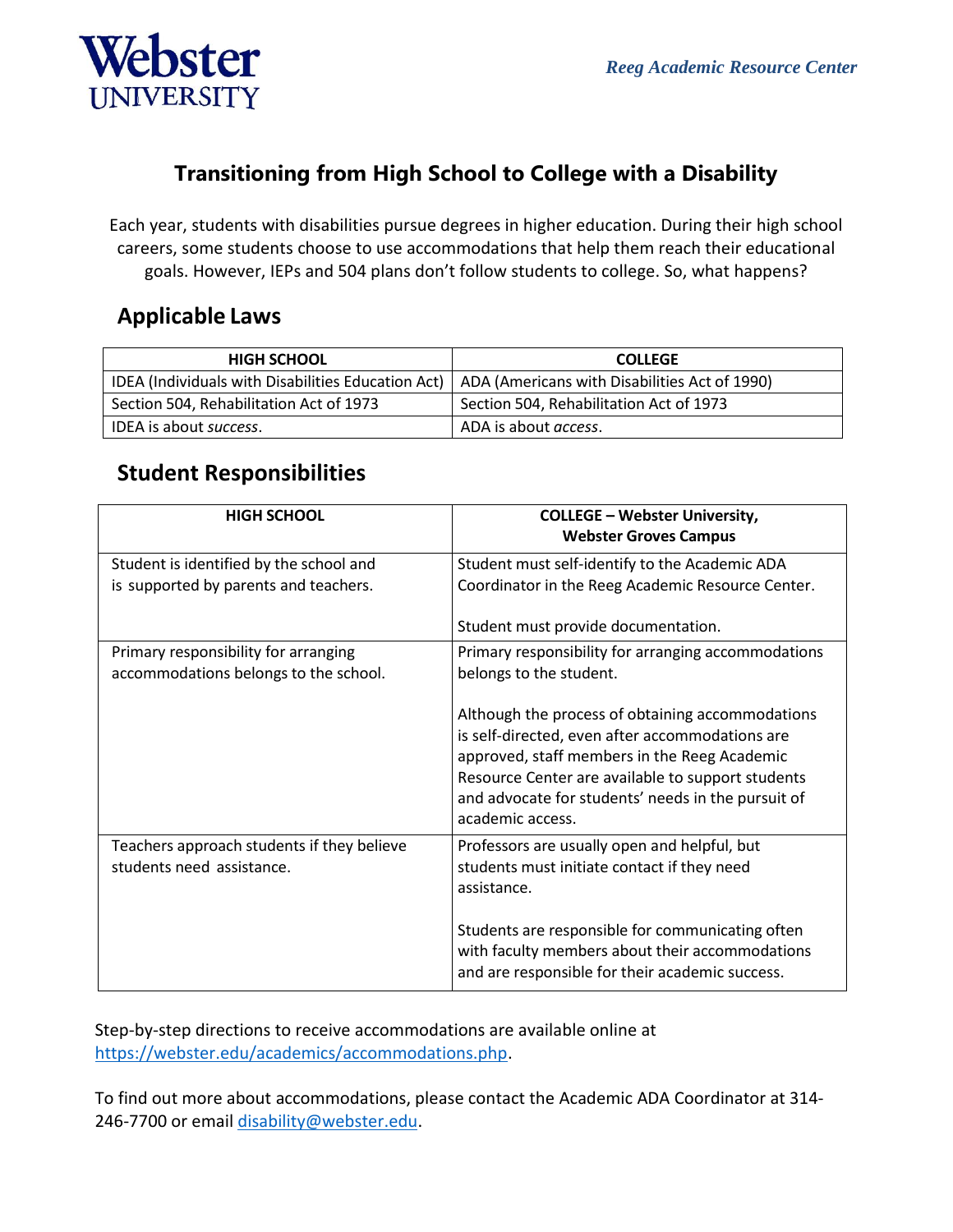

### **Transitioning from High School to College with a Disability**

Each year, students with disabilities pursue degrees in higher education. During their high school careers, some students choose to use accommodations that help them reach their educational goals. However, IEPs and 504 plans don't follow students to college. So, what happens?

#### **Applicable Laws**

| <b>HIGH SCHOOL</b>                                                                                 | <b>COLLEGE</b>                          |
|----------------------------------------------------------------------------------------------------|-----------------------------------------|
| IDEA (Individuals with Disabilities Education Act)   ADA (Americans with Disabilities Act of 1990) |                                         |
| Section 504, Rehabilitation Act of 1973                                                            | Section 504, Rehabilitation Act of 1973 |
| IDEA is about success.                                                                             | ADA is about <i>access</i> .            |

### **Student Responsibilities**

| <b>HIGH SCHOOL</b>                                                               | <b>COLLEGE - Webster University,</b><br><b>Webster Groves Campus</b>                                                                                                                                                                                                               |
|----------------------------------------------------------------------------------|------------------------------------------------------------------------------------------------------------------------------------------------------------------------------------------------------------------------------------------------------------------------------------|
| Student is identified by the school and<br>is supported by parents and teachers. | Student must self-identify to the Academic ADA<br>Coordinator in the Reeg Academic Resource Center.                                                                                                                                                                                |
|                                                                                  | Student must provide documentation.                                                                                                                                                                                                                                                |
| Primary responsibility for arranging<br>accommodations belongs to the school.    | Primary responsibility for arranging accommodations<br>belongs to the student.                                                                                                                                                                                                     |
|                                                                                  | Although the process of obtaining accommodations<br>is self-directed, even after accommodations are<br>approved, staff members in the Reeg Academic<br>Resource Center are available to support students<br>and advocate for students' needs in the pursuit of<br>academic access. |
| Teachers approach students if they believe<br>students need assistance.          | Professors are usually open and helpful, but<br>students must initiate contact if they need<br>assistance.                                                                                                                                                                         |
|                                                                                  | Students are responsible for communicating often<br>with faculty members about their accommodations<br>and are responsible for their academic success.                                                                                                                             |

Step-by-step directions to receive accommodations are available online at [https://webster.edu/academics/accommodations.php.](https://webster.edu/academics/accommodations.php)

To find out more about accommodations, please contact the Academic ADA Coordinator at 314 246-7700 or email [disability@webster.edu.](mailto:disability@webster.edu)